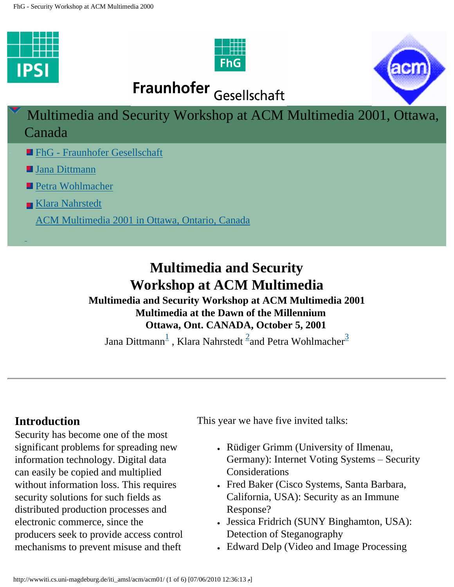<span id="page-0-0"></span>







Multimedia and Security Workshop at ACM Multimedia 2001, Ottawa, Canada

- **In FhG** Fraunhofer Gesellschaft
- [Jana Dittmann](mailto:dittmann@ipsi.fhg.de)
- [Petra Wohlmacher](mailto: petra@ifi.uni-klu.ac.at)
- [Klara Nahrstedt](mailto: klara@nahrstedt.cs.uiuc.edu)

[ACM Multimedia 2001 in Ottawa, Ontario, Canada](http://www1.acm.org/sigs/sigmm/MM2001/)

# **Multimedia and Security Workshop at ACM Multimedia Multimedia and Security Workshop at ACM Multimedia 2001**

 **Multimedia at the Dawn of the Millennium Ottawa, Ont. CANADA, October 5, 2001**

Jana Dittmann $^{\overline{1}}$  $^{\overline{1}}$  $^{\overline{1}}$  , Klara Nahrstedt  $^{\overline{2}}$ and Petra Wohlmacher $^{\overline{3}}$  $^{\overline{3}}$  $^{\overline{3}}$ 

## **Introduction**

Security has become one of the most significant problems for spreading new information technology. Digital data can easily be copied and multiplied without information loss. This requires security solutions for such fields as distributed production processes and electronic commerce, since the producers seek to provide access control mechanisms to prevent misuse and theft

This year we have five invited talks:

- Rüdiger Grimm (University of Ilmenau, Germany): Internet Voting Systems – Security Considerations
- Fred Baker (Cisco Systems, Santa Barbara, California, USA): Security as an Immune Response?
- Jessica Fridrich (SUNY Binghamton, USA): Detection of Steganography
- Edward Delp (Video and Image Processing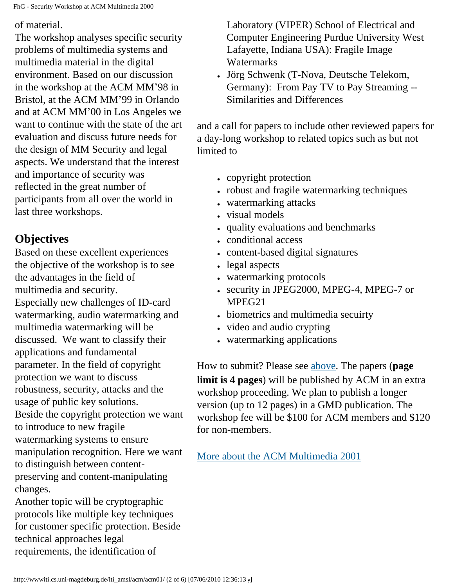FhG - Security Workshop at ACM Multimedia 2000

of material.

The workshop analyses specific security problems of multimedia systems and multimedia material in the digital environment. Based on our discussion in the workshop at the ACM MM'98 in Bristol, at the ACM MM'99 in Orlando and at ACM MM'00 in Los Angeles we want to continue with the state of the art evaluation and discuss future needs for the design of MM Security and legal aspects. We understand that the interest and importance of security was reflected in the great number of participants from all over the world in last three workshops.

# **Objectives**

Based on these excellent experiences the objective of the workshop is to see the advantages in the field of multimedia and security. Especially new challenges of ID-card watermarking, audio watermarking and multimedia watermarking will be discussed. We want to classify their applications and fundamental parameter. In the field of copyright protection we want to discuss robustness, security, attacks and the usage of public key solutions. Beside the copyright protection we want to introduce to new fragile watermarking systems to ensure manipulation recognition. Here we want to distinguish between contentpreserving and content-manipulating changes.

Another topic will be cryptographic protocols like multiple key techniques for customer specific protection. Beside technical approaches legal requirements, the identification of

Laboratory (VIPER) School of Electrical and Computer Engineering Purdue University West Lafayette, Indiana USA): Fragile Image **Watermarks** 

• Jörg Schwenk (T-Nova, Deutsche Telekom, Germany): From Pay TV to Pay Streaming -- Similarities and Differences

and a call for papers to include other reviewed papers for a day-long workshop to related topics such as but not limited to

- copyright protection
- robust and fragile watermarking techniques
- watermarking attacks
- visual models
- quality evaluations and benchmarks
- conditional access
- content-based digital signatures
- $\cdot$  legal aspects
- watermarking protocols
- security in JPEG2000, MPEG-4, MPEG-7 or MPEG21
- biometrics and multimedia secuirty
- video and audio crypting
- watermarking applications

How to submit? Please see [above.](#page-0-0) The papers (**page limit is 4 pages**) will be published by ACM in an extra workshop proceeding. We plan to publish a longer version (up to 12 pages) in a GMD publication. The workshop fee will be \$100 for ACM members and \$120 for non-members.

[More about the ACM Multimedia 2001](http://www.acm.org/sigmm/MM2001/)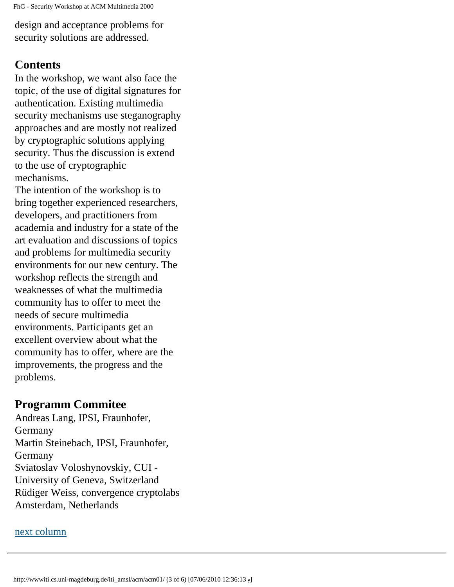FhG - Security Workshop at ACM Multimedia 2000

design and acceptance problems for security solutions are addressed.

#### **Contents**

In the workshop, we want also face the topic, of the use of digital signatures for authentication. Existing multimedia security mechanisms use steganography approaches and are mostly not realized by cryptographic solutions applying security. Thus the discussion is extend to the use of cryptographic mechanisms.

The intention of the workshop is to bring together experienced researchers, developers, and practitioners from academia and industry for a state of the art evaluation and discussions of topics and problems for multimedia security environments for our new century. The workshop reflects the strength and weaknesses of what the multimedia community has to offer to meet the needs of secure multimedia environments. Participants get an excellent overview about what the community has to offer, where are the improvements, the progress and the problems.

### **Programm Commitee**

Andreas Lang, IPSI, Fraunhofer, Germany Martin Steinebach, IPSI, Fraunhofer, Germany Sviatoslav Voloshynovskiy, CUI - University of Geneva, Switzerland Rüdiger Weiss, convergence cryptolabs Amsterdam, Netherlands

#### <span id="page-2-0"></span>[next column](#page-2-0)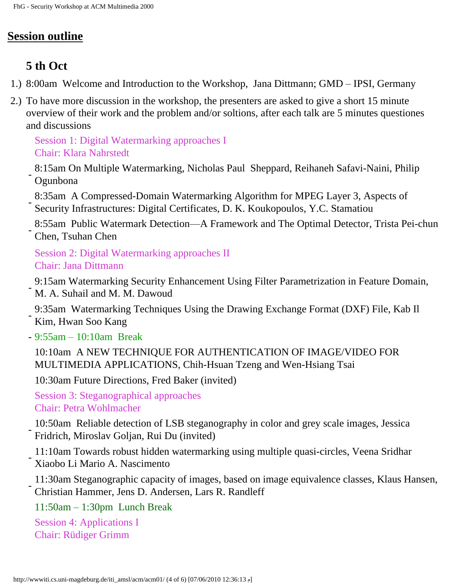# **Session outline**

# **5 th Oct**

- 1.) 8:00am Welcome and Introduction to the Workshop, Jana Dittmann; GMD IPSI, Germany
- 2.) To have more discussion in the workshop, the presenters are asked to give a short 15 minute overview of their work and the problem and/or soltions, after each talk are 5 minutes questiones and discussions

Session 1: Digital Watermarking approaches I Chair: Klara Nahrstedt

- 8:15am On Multiple Watermarking, Nicholas Paul Sheppard, Reihaneh Safavi-Naini, Philip Ogunbona
- 8:35am A Compressed-Domain Watermarking Algorithm for MPEG Layer 3, Aspects of Security Infrastructures: Digital Certificates, D. K. Koukopoulos, Y.C. Stamatiou
- 8:55am Public Watermark Detection—A Framework and The Optimal Detector, Trista Pei-chun Chen, Tsuhan Chen

Session 2: Digital Watermarking approaches II Chair: Jana Dittmann

- 9:15am Watermarking Security Enhancement Using Filter Parametrization in Feature Domain, M. A. Suhail and M. M. Dawoud
- 9:35am Watermarking Techniques Using the Drawing Exchange Format (DXF) File, Kab Il Kim, Hwan Soo Kang
- 9:55am 10:10am Break
	- 10:10am A NEW TECHNIQUE FOR AUTHENTICATION OF IMAGE/VIDEO FOR MULTIMEDIA APPLICATIONS, Chih-Hsuan Tzeng and Wen-Hsiang Tsai

10:30am Future Directions, Fred Baker (invited)

Session 3: Steganographical approaches Chair: Petra Wohlmacher

- 10:50am Reliable detection of LSB steganography in color and grey scale images, Jessica Fridrich, Miroslav Goljan, Rui Du (invited)

- 11:10am Towards robust hidden watermarking using multiple quasi-circles, Veena Sridhar Xiaobo Li Mario A. Nascimento
- 11:30am Steganographic capacity of images, based on image equivalence classes, Klaus Hansen, Christian Hammer, Jens D. Andersen, Lars R. Randleff

11:50am – 1:30pm Lunch Break

Session 4: Applications I Chair: Rüdiger Grimm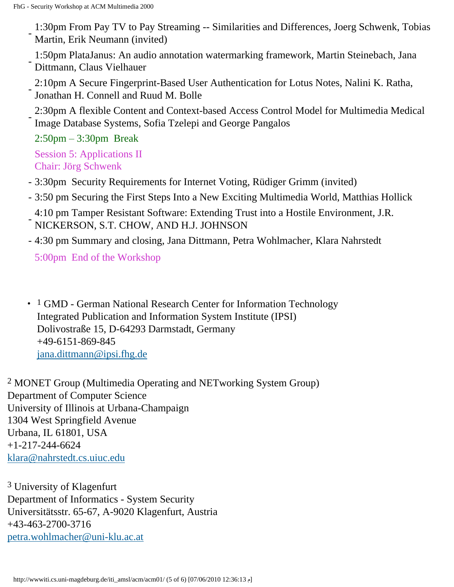- 1:30pm From Pay TV to Pay Streaming -- Similarities and Differences, Joerg Schwenk, Tobias Martin, Erik Neumann (invited)

- 1:50pm PlataJanus: An audio annotation watermarking framework, Martin Steinebach, Jana Dittmann, Claus Vielhauer

- 2:10pm A Secure Fingerprint-Based User Authentication for Lotus Notes, Nalini K. Ratha, Jonathan H. Connell and Ruud M. Bolle

- 2:30pm A flexible Content and Context-based Access Control Model for Multimedia Medical Image Database Systems, Sofia Tzelepi and George Pangalos

2:50pm – 3:30pm Break Session 5: Applications II

Chair: Jörg Schwenk

- 3:30pm Security Requirements for Internet Voting, Rüdiger Grimm (invited)
- 3:50 pm Securing the First Steps Into a New Exciting Multimedia World, Matthias Hollick
- 4:10 pm Tamper Resistant Software: Extending Trust into a Hostile Environment, J.R. NICKERSON, S.T. CHOW, AND H.J. JOHNSON
- 4:30 pm Summary and closing, Jana Dittmann, Petra Wohlmacher, Klara Nahrstedt

5:00pm End of the Workshop

<span id="page-4-0"></span> $\cdot$  1 GMD - German National Research Center for Information Technology Integrated Publication and Information System Institute (IPSI) Dolivostraße 15, D-64293 Darmstadt, Germany +49-6151-869-845 [jana.dittmann@ipsi.fhg.de](mailto:dittmann@ipsi.fhg.de? subject =)

<span id="page-4-1"></span>2 MONET Group (Multimedia Operating and NETworking System Group) Department of Computer Science University of Illinois at Urbana-Champaign 1304 West Springfield Avenue Urbana, IL 61801, USA +1-217-244-6624 [klara@nahrstedt.cs.uiuc.edu](mailto: klara@nahrstedt.cs.uiuc.edu)

<span id="page-4-2"></span>3 University of Klagenfurt Department of Informatics - System Security Universitätsstr. 65-67, A-9020 Klagenfurt, Austria +43-463-2700-3716 [petra.wohlmacher@uni-klu.ac.at](mailto: petra@ifi.uni-klu.ac.at)